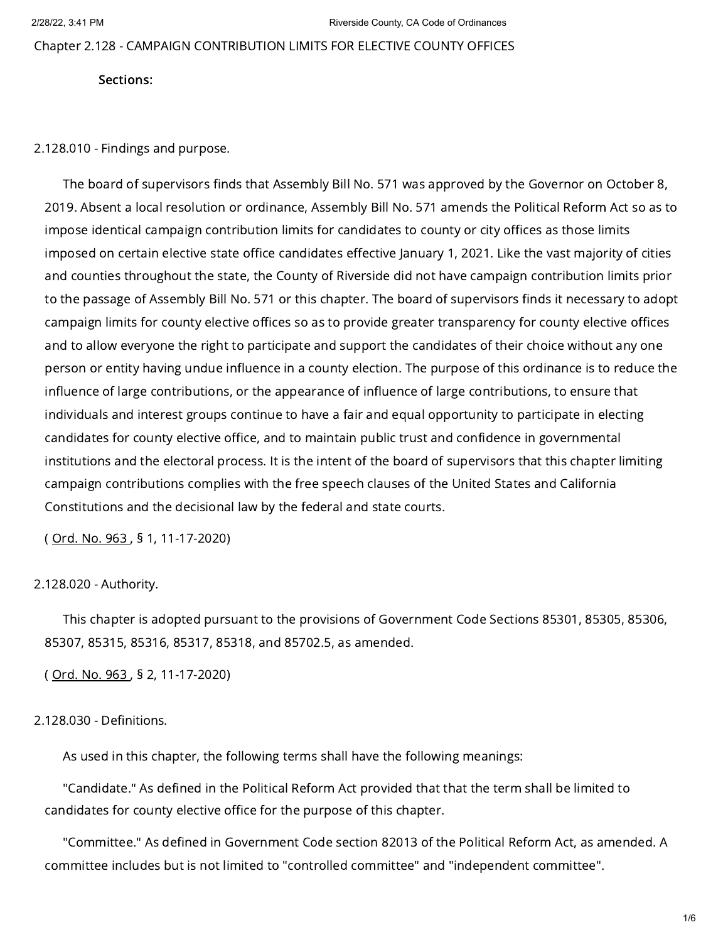Chapter 2.128 - CAMPAIGN CONTRIBUTION LIMITS FOR ELECTIVE COUNTY OFFICES

Sections:

2.128.010 - Findings and purpose.

The board of supervisors finds that Assembly Bill No. 571 was approved by the Governor on October 8, 2019. Absent a local resolution or ordinance, Assembly Bill No. 571 amends the Political Reform Act so as to impose identical campaign contribution limits for candidates to county or city offices as those limits imposed on certain elective state office candidates effective January 1, 2021. Like the vast majority of cities and counties throughout the state, the County of Riverside did not have campaign contribution limits prior to the passage of Assembly Bill No. 571 or this chapter. The board of supervisors finds it necessary to adopt campaign limits for county elective offices so as to provide greater transparency for county elective offices and to allow everyone the right to participate and support the candidates of their choice without any one person or entity having undue influence in a county election. The purpose of this ordinance is to reduce the influence of large contributions, or the appearance of influence of large contributions, to ensure that individuals and interest groups continue to have a fair and equal opportunity to participate in electing candidates for county elective office, and to maintain public trust and confidence in governmental institutions and the electoral process. It is the intent of the board of supervisors that this chapter limiting campaign contributions complies with the free speech clauses of the United States and California Constitutions and the decisional law by the federal and state courts.

( [Ord.](https://library.municode.com/) No. 963 , § 1, 11-17-2020)

### 2.128.020 - Authority.

This chapter is adopted pursuant to the provisions of Government Code Sections 85301, 85305, 85306, 85307, 85315, 85316, 85317, 85318, and 85702.5, as amended.

( [Ord.](https://library.municode.com/) No. 963 , § 2, 11-17-2020)

# 2.128.030 - Definitions.

As used in this chapter, the following terms shall have the following meanings:

"Candidate." As defined in the Political Reform Act provided that that the term shall be limited to candidates for county elective office for the purpose of this chapter.

"Committee." As defined in Government Code section 82013 of the Political Reform Act, as amended. A committee includes but is not limited to "controlled committee" and "independent committee".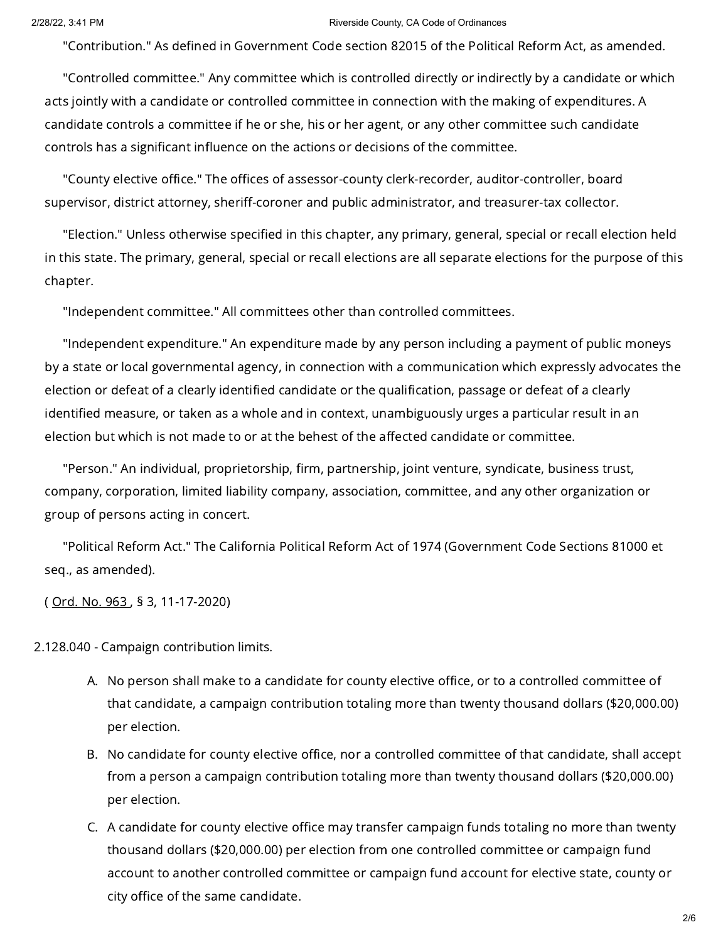### 2/28/22, 3:41 PM Riverside County, CA Code of Ordinances

"Contribution." As defined in Government Code section 82015 of the Political Reform Act, as amended.

"Controlled committee." Any committee which is controlled directly or indirectly by a candidate or which acts jointly with a candidate or controlled committee in connection with the making of expenditures. A candidate controls a committee if he or she, his or her agent, or any other committee such candidate controls has a significant influence on the actions or decisions of the committee.

"County elective office." The offices of assessor-county clerk-recorder, auditor-controller, board supervisor, district attorney, sheriff-coroner and public administrator, and treasurer-tax collector.

"Election." Unless otherwise specified in this chapter, any primary, general, special or recall election held in this state. The primary, general, special or recall elections are all separate elections for the purpose of this chapter.

"Independent committee." All committees other than controlled committees.

"Independent expenditure." An expenditure made by any person including a payment of public moneys by a state or local governmental agency, in connection with a communication which expressly advocates the election or defeat of a clearly identified candidate or the qualification, passage or defeat of a clearly identified measure, or taken as a whole and in context, unambiguously urges a particular result in an election but which is not made to or at the behest of the affected candidate or committee.

"Person." An individual, proprietorship, firm, partnership, joint venture, syndicate, business trust, company, corporation, limited liability company, association, committee, and any other organization or group of persons acting in concert.

"Political Reform Act." The California Political Reform Act of 1974 (Government Code Sections 81000 et seq., as amended).

( [Ord.](https://library.municode.com/) No. 963 , § 3, 11-17-2020)

2.128.040 - Campaign contribution limits.

- A. No person shall make to a candidate for county elective office, or to a controlled committee of that candidate, a campaign contribution totaling more than twenty thousand dollars (\$20,000.00) per election.
- B. No candidate for county elective office, nor a controlled committee of that candidate, shall accept from a person a campaign contribution totaling more than twenty thousand dollars (\$20,000.00) per election.
- C. A candidate for county elective office may transfer campaign funds totaling no more than twenty thousand dollars (\$20,000.00) per election from one controlled committee or campaign fund account to another controlled committee or campaign fund account for elective state, county or city office of the same candidate.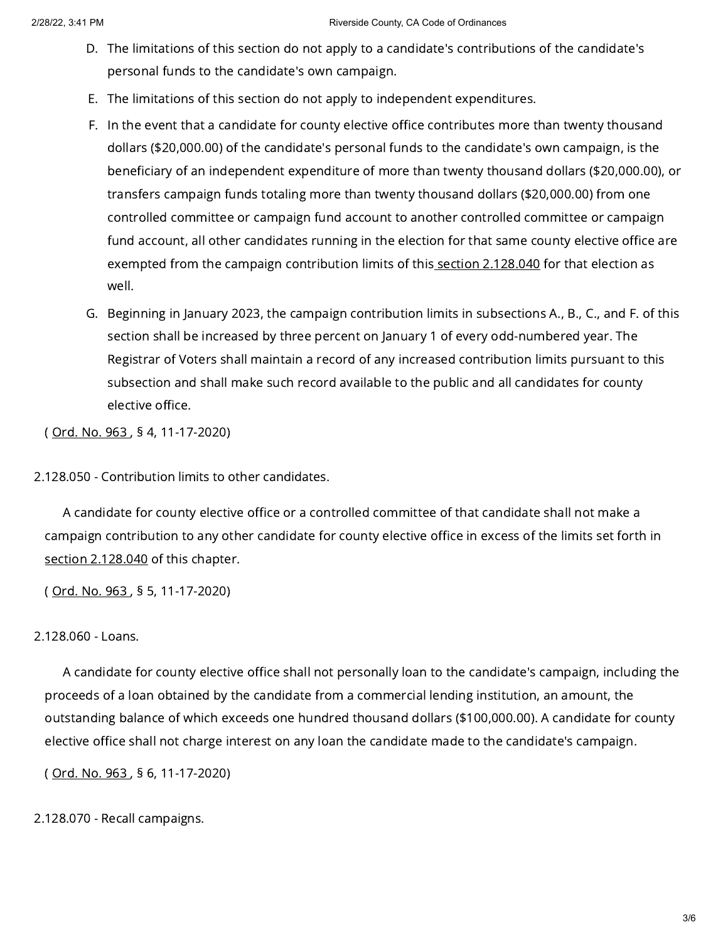- D. The limitations of this section do not apply to a candidate's contributions of the candidate's personal funds to the candidate's own campaign.
- E. The limitations of this section do not apply to independent expenditures.
- F. In the event that a candidate for county elective office contributes more than twenty thousand dollars (\$20,000.00) of the candidate's personal funds to the candidate's own campaign, is the beneficiary of an independent expenditure of more than twenty thousand dollars (\$20,000.00), or transfers campaign funds totaling more than twenty thousand dollars (\$20,000.00) from one controlled committee or campaign fund account to another controlled committee or campaign fund account, all other candidates running in the election for that same county elective office are exempted from the campaign contribution limits of this section [2.128.040](https://library.municode.com/) for that election as well.
- G. Beginning in January 2023, the campaign contribution limits in subsections A., B., C., and F. of this section shall be increased by three percent on January 1 of every odd-numbered year. The Registrar of Voters shall maintain a record of any increased contribution limits pursuant to this subsection and shall make such record available to the public and all candidates for county elective office.

( [Ord.](https://library.municode.com/) No. 963 , § 4, 11-17-2020)

2.128.050 - Contribution limits to other candidates.

A candidate for county elective office or a controlled committee of that candidate shall not make a campaign contribution to any other candidate for county elective office in excess of the limits set forth in section [2.128.040](https://library.municode.com/) of this chapter.

( [Ord.](https://library.municode.com/) No. 963 , § 5, 11-17-2020)

# 2.128.060 - Loans.

A candidate for county elective office shall not personally loan to the candidate's campaign, including the proceeds of a loan obtained by the candidate from a commercial lending institution, an amount, the outstanding balance of which exceeds one hundred thousand dollars (\$100,000.00). A candidate for county elective office shall not charge interest on any loan the candidate made to the candidate's campaign.

( [Ord.](https://library.municode.com/) No. 963 , § 6, 11-17-2020)

2.128.070 - Recall campaigns.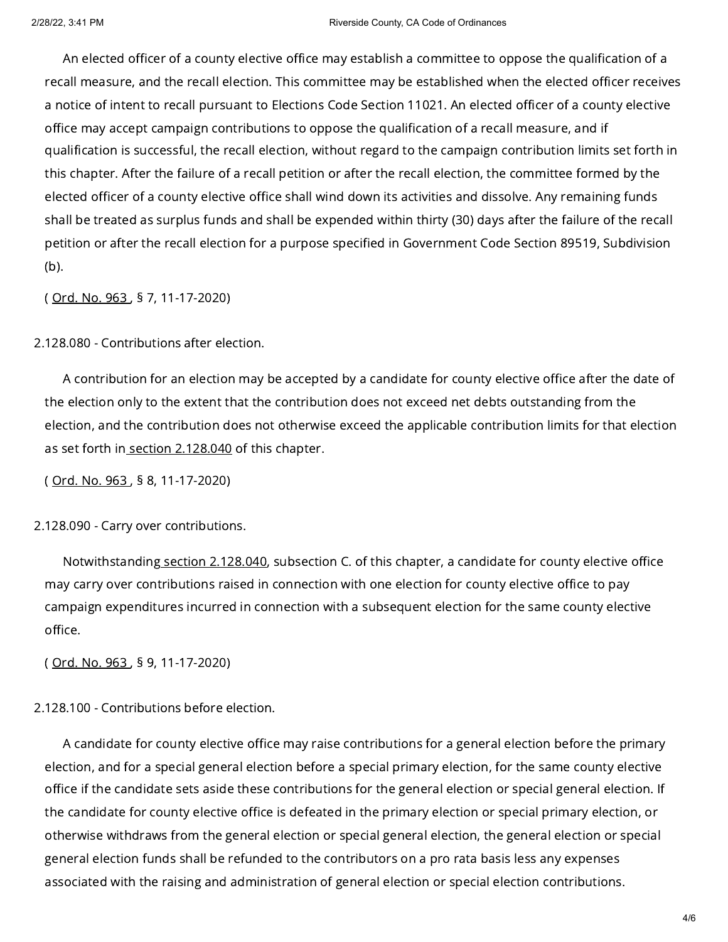An elected officer of a county elective office may establish a committee to oppose the qualification of a recall measure, and the recall election. This committee may be established when the elected officer receives a notice of intent to recall pursuant to Elections Code Section 11021. An elected officer of a county elective office may accept campaign contributions to oppose the qualification of a recall measure, and if qualification is successful, the recall election, without regard to the campaign contribution limits set forth in this chapter. After the failure of a recall petition or after the recall election, the committee formed by the elected officer of a county elective office shall wind down its activities and dissolve. Any remaining funds shall be treated as surplus funds and shall be expended within thirty (30) days after the failure of the recall petition or after the recall election for a purpose specified in Government Code Section 89519, Subdivision (b).

( [Ord.](https://library.municode.com/) No. 963 , § 7, 11-17-2020)

2.128.080 - Contributions after election.

A contribution for an election may be accepted by a candidate for county elective office after the date of the election only to the extent that the contribution does not exceed net debts outstanding from the election, and the contribution does not otherwise exceed the applicable contribution limits for that election as set forth in section [2.128.040](https://library.municode.com/) of this chapter.

( [Ord.](https://library.municode.com/) No. 963 , § 8, 11-17-2020)

2.128.090 - Carry over contributions.

Notwithstanding section [2.128.040,](https://library.municode.com/) subsection C. of this chapter, a candidate for county elective office may carry over contributions raised in connection with one election for county elective office to pay campaign expenditures incurred in connection with a subsequent election for the same county elective office.

( [Ord.](https://library.municode.com/) No. 963 , § 9, 11-17-2020)

2.128.100 - Contributions before election.

A candidate for county elective office may raise contributions for a general election before the primary election, and for a special general election before a special primary election, for the same county elective office if the candidate sets aside these contributions for the general election or special general election. If the candidate for county elective office is defeated in the primary election or special primary election, or otherwise withdraws from the general election or special general election, the general election or special general election funds shall be refunded to the contributors on a pro rata basis less any expenses associated with the raising and administration of general election or special election contributions.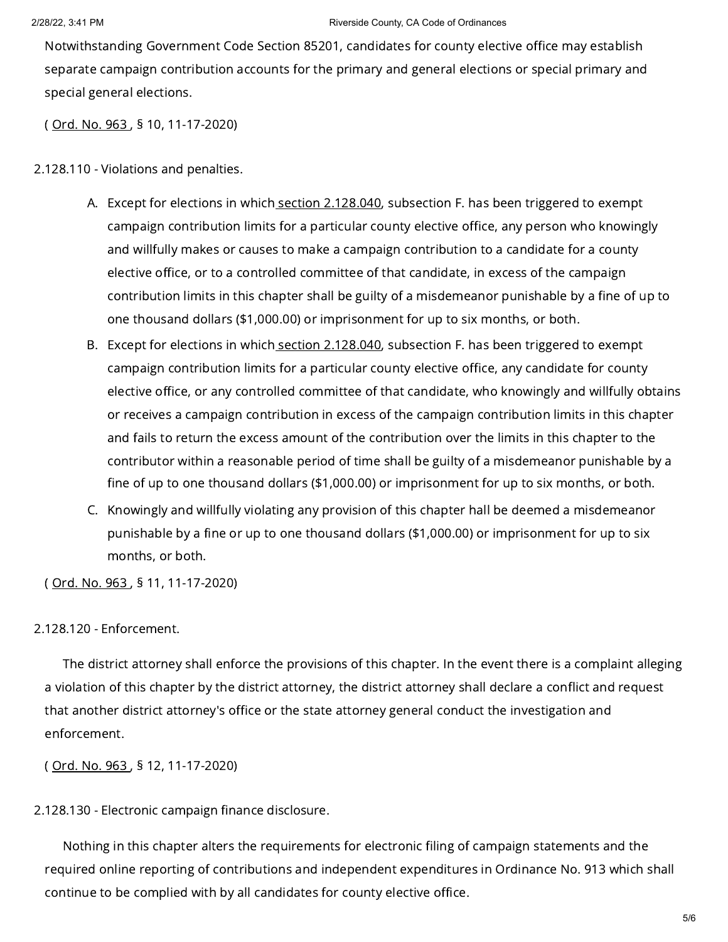#### 2/28/22, 3:41 PM Riverside County, CA Code of Ordinances

Notwithstanding Government Code Section 85201, candidates for county elective office may establish separate campaign contribution accounts for the primary and general elections or special primary and special general elections.

( [Ord.](https://library.municode.com/) No. 963 , § 10, 11-17-2020)

2.128.110 - Violations and penalties.

- A. Except for elections in which<u> section 2.128.040</u>, subsection F. has been triggered to exempt campaign contribution limits for a particular county elective office, any person who knowingly and willfully makes or causes to make a campaign contribution to a candidate for a county elective office, or to a controlled committee of that candidate, in excess of the campaign contribution limits in this chapter shall be guilty of a misdemeanor punishable by a fine of up to one thousand dollars (\$1,000.00) or imprisonment for up to six months, or both.
- B. Except for elections in which<u> section 2.128.040</u>, subsection F. has been triggered to exempt campaign contribution limits for a particular county elective office, any candidate for county elective office, or any controlled committee of that candidate, who knowingly and willfully obtains or receives a campaign contribution in excess of the campaign contribution limits in this chapter and fails to return the excess amount of the contribution over the limits in this chapter to the contributor within a reasonable period of time shall be guilty of a misdemeanor punishable by a fine of up to one thousand dollars (\$1,000.00) or imprisonment for up to six months, or both.
- C. Knowingly and willfully violating any provision of this chapter hall be deemed a misdemeanor punishable by a fine or up to one thousand dollars (\$1,000.00) or imprisonment for up to six months, or both.

( [Ord.](https://library.municode.com/) No. 963 , § 11, 11-17-2020)

## 2.128.120 - Enforcement.

The district attorney shall enforce the provisions of this chapter. In the event there is a complaint alleging a violation of this chapter by the district attorney, the district attorney shall declare a conflict and request that another district attorney's office or the state attorney general conduct the investigation and enforcement.

( [Ord.](https://library.municode.com/) No. 963 , § 12, 11-17-2020)

2.128.130 - Electronic campaign finance disclosure.

Nothing in this chapter alters the requirements for electronic filing of campaign statements and the required online reporting of contributions and independent expenditures in Ordinance No. 913 which shall continue to be complied with by all candidates for county elective office.